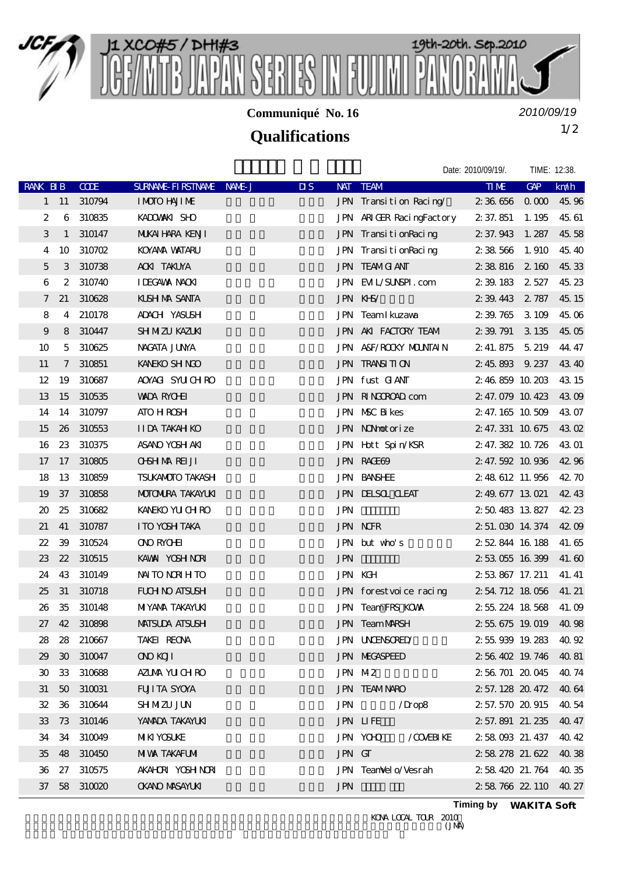

**Communiqué No. 16**

*2010/09/19*

## 1/2 **Qualifications**

|                |        |              |                          |                                  |                          | Date: 2010/09/19/.    | TIME: 12:38. |       |
|----------------|--------|--------------|--------------------------|----------------------------------|--------------------------|-----------------------|--------------|-------|
| RANK BIB       |        | CDE          | SURNAME FIRSTNAME NAME J | $\overline{\mathbf{u}}$<br>NAT . | <b>TEAM</b>              | <b>TIME</b>           | GAP          | km/h  |
|                |        | 1 11 310794  | <b>IMOTO HAJIME</b>      |                                  | JPN Transition Racing    | 2 36 656 0 000 45 96  |              |       |
| 2              |        | 6 310835     | KADOWAKI SHO             |                                  | JPN ARIGER RacingFactory | 2 37.851              | 1.195        | 45.61 |
| 3              |        | 1 310147     | <b>MIKAI HARA KENJI</b>  |                                  | JPN TransitionRacing     | 2 37.943 1.287        |              | 45.58 |
| 4              | 10     | 310702       | <b>KOYAMA WATARU</b>     |                                  | JPN TransitionRacing     | 2 38 566              | 1.910        | 45.40 |
| $\overline{5}$ | 3      | 310738       | <b>ACKI TAKUYA</b>       |                                  | <b>JPN TEAMG ANT</b>     | 2 38 816 2 160        |              | 45.33 |
| 6              |        | 2 310740     | <b>I DEGAWA NACKI</b>    |                                  | JPN EML/SUNSPI.com       | 2 39 183 2 527        |              | 45.23 |
| $\tau$         | 21     | 310628       | <b>KLSH MA SANTA</b>     |                                  | JPN KHS/                 | 2 39.443 2 787        |              | 45.15 |
| 8              |        | 4 210178     | ADACH YASUSH             |                                  | JPN Team I kuzawa        | 2 39 765 3 109        |              | 45.06 |
| 9              |        | 8 310447     | <b>SH MZU KAZUKI</b>     |                                  | JPN AKI FACTORY TEAM     | 2 39 791              | 3 1 35       | 45.05 |
| 10             |        | 5 310625     | NAGATA JUNYA             |                                  | JPN A&F/ROOKY MOUNTAIN   | 2 41.875 5 219        |              | 44.47 |
| 11             |        | 7 310851     | KANEKO SH NGO            |                                  | <b>JPN TRANSITION</b>    | 2 45 893 9 237        |              | 43.40 |
| 12             | 19     | 310687       | AOYAGI SYUCHRO           |                                  | JPN fust GANT            | 2 46 859 10 203       |              | 43 15 |
| 13             | 15     | 310535       | <b>WADA RYCHI</b>        |                                  | JPN RINGOROAD com        | 2 47.079 10.423       |              | 43.09 |
| 14             | 14     | 310797       | <b>ATO H ROSH</b>        |                                  | JPN NSC Bikes            | 2 47.165 10 509       |              | 43.07 |
| 15             | 26     | 310553       | <b>IIDA TAKAH KO</b>     |                                  | JPN NONhotorize          | 2 47.331 10 675       |              | 43.02 |
| 16             | $23\,$ | 310375       | ASANO YOSH AKI           |                                  | JPN Hott Spin/KSR        | 2, 47, 382, 10, 726   |              | 43 01 |
| 17             |        | 17 310805    | <b>CHSH MA REI JI</b>    |                                  | <b>JPN RACE69</b>        | 2 47.592 10 936       |              | 42.96 |
| 18             | 13     | 310859       | <b>TSUKANOTO TAKASH</b>  |                                  | <b>JPN BANSHEE</b>       | 2 48 612 11.956       |              | 42.70 |
| 19             | 37     | 310858       | <b>MOTOMIRA TAKAYUKI</b> |                                  | <b>JPN DELSOL CLEAT</b>  | 2 49 677 13 021       |              | 42.43 |
| 20             | 25     | 310682       | KANEKO YU CH RO          | <b>JPN</b>                       |                          | 2 50 483 13 827       |              | 42.23 |
| 21             | 41     | 310787       | I TO YOSH TAKA           |                                  | <b>JPN NOR</b>           | 2 51.030 14.374 42.09 |              |       |
| 22             | 39     | 310524       | <b>ONO RYCHI</b>         |                                  | JPN but who's            | 2 52 844 16 188       |              | 41.65 |
| 23             | 22     | 310515       | KAWAI YOSH NORI          | <b>JPN</b>                       |                          | 2 53 055 16 399       |              | 41.60 |
| 24             | 43     | 310149       | <b>NAITO NORIHTO</b>     |                                  | <b>JPN KGH</b>           | 2 53 867 17.211       |              | 41.41 |
| 25             | 31     | 310718       | <b>FUH NO ATSUSH</b>     |                                  | JPN forestvoice racing   | 2 54 712 18 056       |              | 41.21 |
| 26             | 35     | 310148       | <b>MIYAMA TAKAYUKI</b>   |                                  | <b>JPN TeamFRS KOWN</b>  | 2 55 224 18 568       |              | 41.09 |
| 27             |        | 42 310898    | <b>MATSUDA ATSUSH</b>    |                                  | <b>JPN TeamMARSH</b>     | 2 55 675 19 019       |              | 40.98 |
|                |        | 28 28 210667 | TAKEI REONA              |                                  | <b>JPN UNENSORED</b>     | 2 55 939 19 283 40 92 |              |       |
|                |        | 29 30 310047 | <b>OND KOJI</b>          |                                  | <b>JPN MEGASPEED</b>     | 2 56 402 19 746 40 81 |              |       |
|                |        | 30 33 310688 | AZUMA YU CHRO            | JPN M2                           |                          | 2 56 701 20 045 40 74 |              |       |
|                |        | 31 50 310031 | <b>FUITA SYOYA</b>       |                                  | <b>JPN TEAMNARO</b>      | 2 57.128 20.472 40.64 |              |       |
|                |        | 32 36 310644 | <b>SHMZU JUN</b>         | <b>JPN</b>                       | $/$ Drop $\frac{8}{3}$   | 2 57.570 20.915 40.54 |              |       |
|                |        | 33 73 310146 | YAMADA TAKAYUKI          |                                  | <b>JPN LIFE</b>          | 2 57.891 21.235 40.47 |              |       |
|                |        | 34 34 310049 | <b>MKI YOSUKE</b>        |                                  | JPN YCHO<br>/COVERIKE    | 2 58 093 21 437 40 42 |              |       |
|                |        | 35 48 310450 | <b>MWA TAKAFUM</b>       | JPN GT                           |                          | 2 58 278 21.622 40.38 |              |       |
|                |        | 36 27 310575 | AKAHORI YOSH NORI        |                                  | JPN TeanVel o/Vesrah     | 2 58 420 21 764 40 35 |              |       |
|                |        | 37 58 310020 | <b>CKANO MASAYLKI</b>    | <b>JPN</b>                       |                          | 2 58 766 22 110 40 27 |              |       |
|                |        |              |                          |                                  |                          |                       |              |       |

KONA LOCAL TOUR 2010<br>(JMA)

**Timing by** *WAKITA Soft*